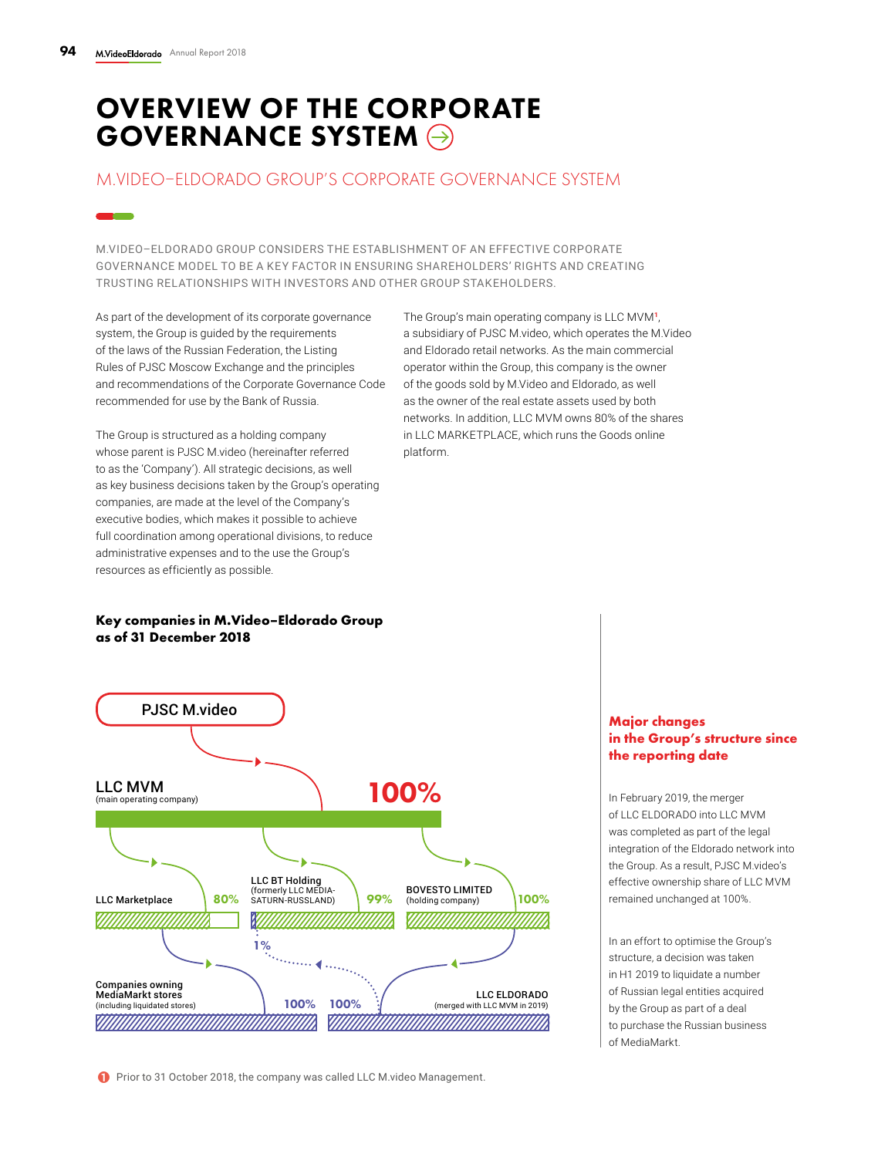## OVERVIEW OF THE CORPORATE GOVERNANCE SYSTEM  $\ominus$

### M.VIDEO–ELDORADO GROUP'S CORPORATE GOVERNANCE SYSTEM

M.VIDEO–ELDORADO GROUP CONSIDERS THE ESTABLISHMENT OF AN EFFECTIVE CORPORATE GOVERNANCE MODEL TO BE A KEY FACTOR IN ENSURING SHAREHOLDERS' RIGHTS AND CREATING TRUSTING RELATIONSHIPS WITH INVESTORS AND OTHER GROUP STAKEHOLDERS.

As part of the development of its corporate governance system, the Group is guided by the requirements of the laws of the Russian Federation, the Listing Rules of PJSC Moscow Exchange and the principles and recommendations of the Corporate Governance Code recommended for use by the Bank of Russia.

The Group is structured as a holding company whose parent is PJSC M.video (hereinafter referred to as the 'Company'). All strategic decisions, as well as key business decisions taken by the Group's operating companies, are made at the level of the Company's executive bodies, which makes it possible to achieve full coordination among operational divisions, to reduce administrative expenses and to the use the Group's resources as efficiently as possible.

The Group's main operating company is LLC MVM**<sup>1</sup>**, a subsidiary of PJSC M.video, which operates the M.Video and Eldorado retail networks. As the main commercial operator within the Group, this company is the owner of the goods sold by M.Video and Eldorado, as well as the owner of the real estate assets used by both networks. In addition, LLC MVM owns 80% of the shares in LLC MARKETPLACE, which runs the Goods online platform.

#### **Key companies in M.Video–Eldorado Group as of 31 December 2018**



**1** Prior to 31 October 2018, the company was called LLC M.video Management.

#### **Major changes in the Group's structure since the reporting date**

In February 2019, the merger of LLC ELDORADO into LLC MVM was completed as part of the legal integration of the Eldorado network into the Group. As a result, PJSC M.video's effective ownership share of LLC MVM remained unchanged at 100%.

In an effort to optimise the Group's structure, a decision was taken in H1 2019 to liquidate a number of Russian legal entities acquired by the Group as part of a deal to purchase the Russian business of MediaMarkt.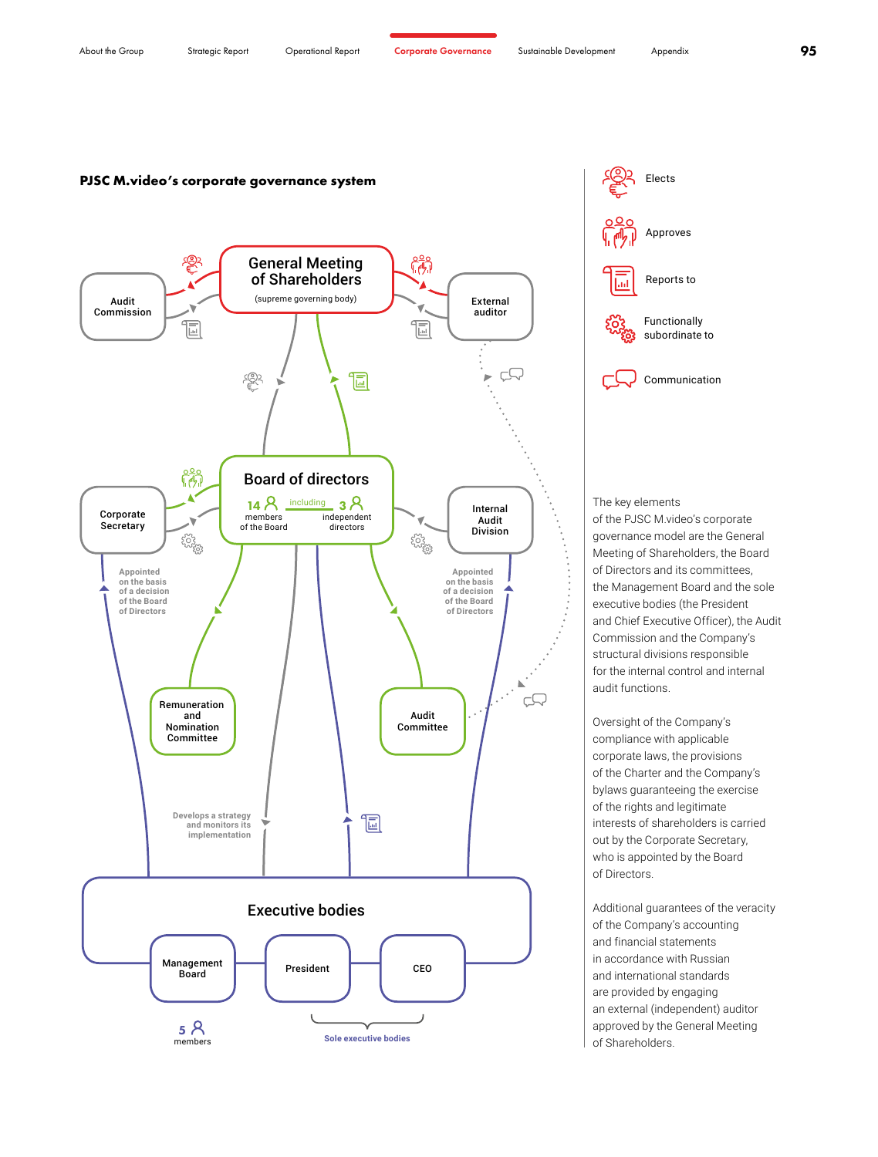members



**Sole executive bodies**

of the PJSC M.video's corporate governance model are the General Meeting of Shareholders, the Board of Directors and its committees, the Management Board and the sole executive bodies (the President and Chief Executive Officer), the Audit Commission and the Company's structural divisions responsible for the internal control and internal

Oversight of the Company's compliance with applicable corporate laws, the provisions of the Charter and the Company's bylaws guaranteeing the exercise of the rights and legitimate interests of shareholders is carried out by the Corporate Secretary, who is appointed by the Board

Additional guarantees of the veracity of the Company's accounting and financial statements in accordance with Russian and international standards are provided by engaging an external (independent) auditor approved by the General Meeting of Shareholders.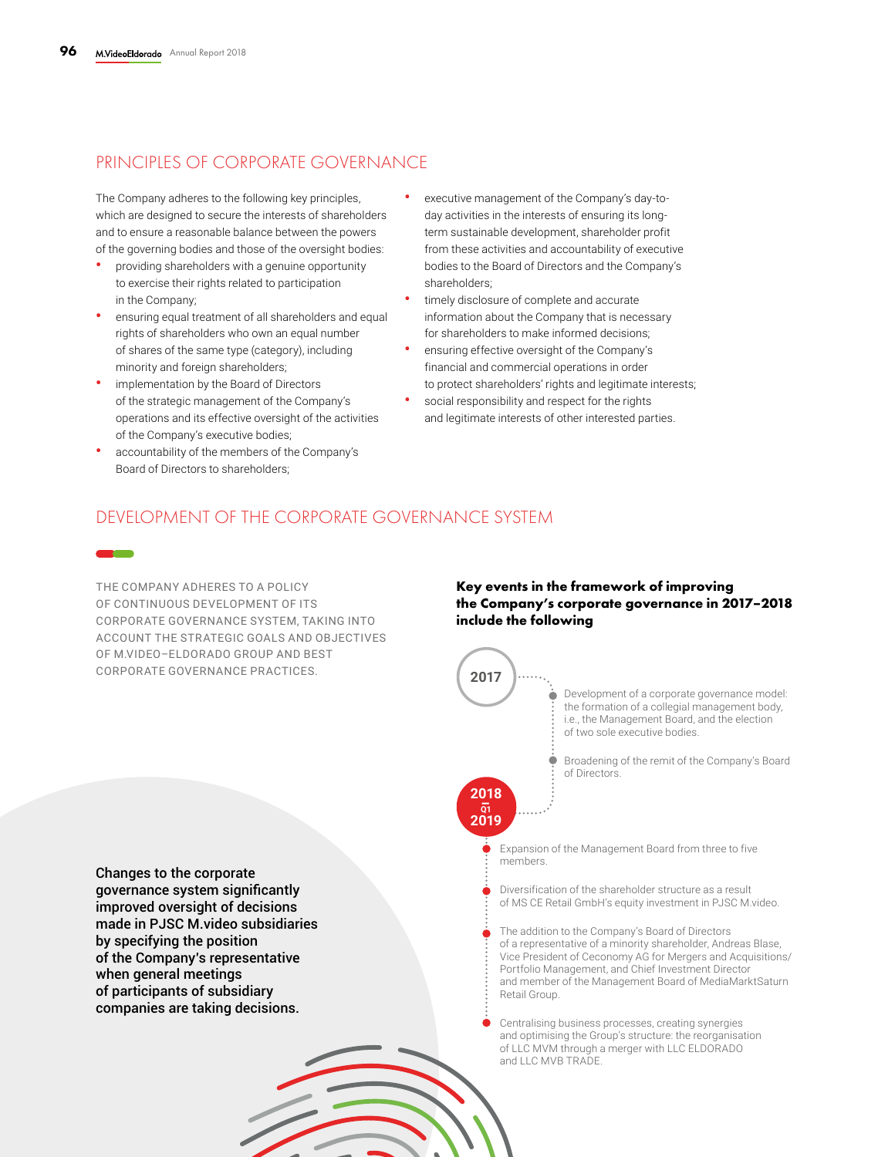## PRINCIPLES OF CORPORATE GOVERNANCE

The Company adheres to the following key principles, which are designed to secure the interests of shareholders and to ensure a reasonable balance between the powers of the governing bodies and those of the oversight bodies:

- **•** providing shareholders with a genuine opportunity to exercise their rights related to participation in the Company;
- **•** ensuring equal treatment of all shareholders and equal rights of shareholders who own an equal number of shares of the same type (category), including minority and foreign shareholders;
- **•** implementation by the Board of Directors of the strategic management of the Company's operations and its effective oversight of the activities of the Company's executive bodies;
- **•** accountability of the members of the Company's Board of Directors to shareholders;
- **•** executive management of the Company's day-today activities in the interests of ensuring its longterm sustainable development, shareholder profit from these activities and accountability of executive bodies to the Board of Directors and the Company's shareholders;
- **•** timely disclosure of complete and accurate information about the Company that is necessary for shareholders to make informed decisions;
- **•** ensuring effective oversight of the Company's financial and commercial operations in order to protect shareholders' rights and legitimate interests;
- **•** social responsibility and respect for the rights and legitimate interests of other interested parties.

### DEVELOPMENT OF THE CORPORATE GOVERNANCE SYSTEM

THE COMPANY ADHERES TO A POLICY OF CONTINUOUS DEVELOPMENT OF ITS CORPORATE GOVERNANCE SYSTEM, TAKING INTO ACCOUNT THE STRATEGIC GOALS AND OBJECTIVES OF M.VIDEO–ELDORADO GROUP AND BEST CORPORATE GOVERNANCE PRACTICES.

#### **Key events in the framework of improving the Company's corporate governance in 2017–2018 include the following**